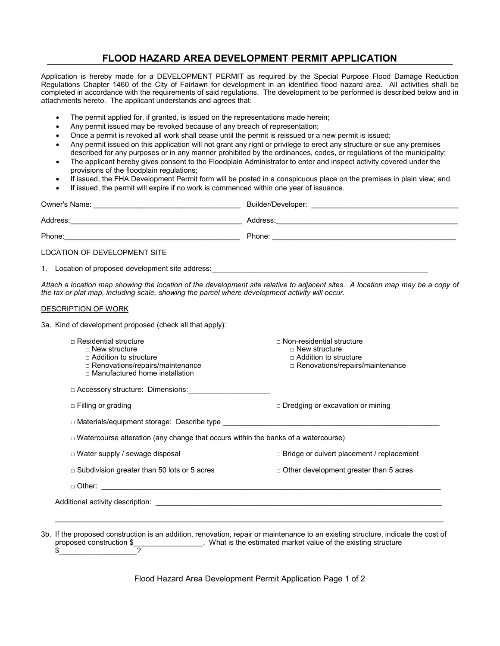## **FLOOD HAZARD AREA DEVELOPMENT PERMIT APPLICATION**

Application is hereby made for a DEVELOPMENT PERMIT as required by the Special Purpose Flood Damage Reduction Regulations Chapter 1460 of the City of Fairlawn for development in an identified flood hazard area. All activities shall be completed in accordance with the requirements of said regulations. The development to be performed is described below and in attachments hereto. The applicant understands and agrees that:

- The permit applied for, if granted, is issued on the representations made herein;
- Any permit issued may be revoked because of any breach of representation;
- Once a permit is revoked all work shall cease until the permit is reissued or a new permit is issued;
- Any permit issued on this application will not grant any right or privilege to erect any structure or sue any premises described for any purposes or in any manner prohibited by the ordinances, codes, or regulations of the municipality;
- The applicant hereby gives consent to the Floodplain Administrator to enter and inspect activity covered under the provisions of the floodplain regulations;
- If issued, the FHA Development Permit form will be posted in a conspicuous place on the premises in plain view; and,
- If issued, the permit will expire if no work is commenced within one year of issuance.

| Owner's Name:                | Builder/Developer: |
|------------------------------|--------------------|
| Address:                     | Address:           |
| Phone:                       | Phone:             |
| LOCATION OF DEVELOPMENT SITE |                    |

1. Location of proposed development site address:

*Attach a location map showing the location of the development site relative to adjacent sites. A location map may be a copy of the tax or plat map, including scale, showing the parcel where development activity will occur.*

## DESCRIPTION OF WORK

3a. Kind of development proposed (check all that apply):

| $\sqcap$ Residential structure<br>$\Box$ New structure<br>$\Box$ Addition to structure<br>□ Renovations/repairs/maintenance<br>$\Box$ Manufactured home installation | $\sqcap$ Non-residential structure<br>$\Box$ New structure<br>$\Box$ Addition to structure<br>□ Renovations/repairs/maintenance |  |  |
|----------------------------------------------------------------------------------------------------------------------------------------------------------------------|---------------------------------------------------------------------------------------------------------------------------------|--|--|
| □ Accessory structure: Dimensions:                                                                                                                                   |                                                                                                                                 |  |  |
| $\Box$ Filling or grading                                                                                                                                            | $\Box$ Dredging or excavation or mining                                                                                         |  |  |
| $\Box$ Materials/equipment storage: Describe type $\Box$                                                                                                             |                                                                                                                                 |  |  |
| $\Box$ Watercourse alteration (any change that occurs within the banks of a watercourse)                                                                             |                                                                                                                                 |  |  |
| $\Box$ Water supply / sewage disposal                                                                                                                                | $\Box$ Bridge or culvert placement / replacement                                                                                |  |  |
| $\Box$ Subdivision greater than 50 lots or 5 acres                                                                                                                   | $\Box$ Other development greater than 5 acres                                                                                   |  |  |
|                                                                                                                                                                      |                                                                                                                                 |  |  |
|                                                                                                                                                                      |                                                                                                                                 |  |  |

3b. If the proposed construction is an addition, renovation, repair or maintenance to an existing structure, indicate the cost of L. What is the estimated market value of the existing structure  $\frac{1}{2}$ 

Flood Hazard Area Development Permit Application Page 1 of 2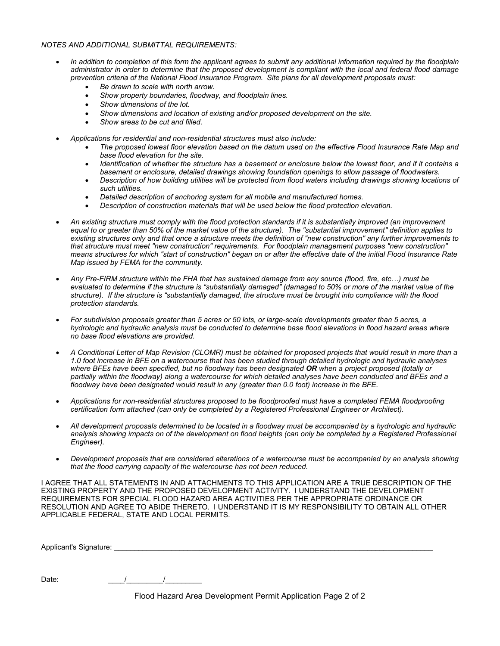## *NOTES AND ADDITIONAL SUBMITTAL REQUIREMENTS:*

- *In addition to completion of this form the applicant agrees to submit any additional information required by the floodplain administrator in order to determine that the proposed development is compliant with the local and federal flood damage prevention criteria of the National Flood Insurance Program. Site plans for all development proposals must:* 
	- *Be drawn to scale with north arrow.*
	- *Show property boundaries, floodway, and floodplain lines.*
	- *Show dimensions of the lot.*
	- *Show dimensions and location of existing and/or proposed development on the site.*
	- *Show areas to be cut and filled.*
- *Applications for residential and non-residential structures must also include:*
	- *The proposed lowest floor elevation based on the datum used on the effective Flood Insurance Rate Map and base flood elevation for the site.*
	- *Identification of whether the structure has a basement or enclosure below the lowest floor, and if it contains a basement or enclosure, detailed drawings showing foundation openings to allow passage of floodwaters.*
	- *Description of how building utilities will be protected from flood waters including drawings showing locations of such utilities.*
	- *Detailed description of anchoring system for all mobile and manufactured homes.*
	- *Description of construction materials that will be used below the flood protection elevation.*
- *An existing structure must comply with the flood protection standards if it is substantially improved (an improvement equal to or greater than 50% of the market value of the structure). The "substantial improvement" definition applies to existing structures only and that once a structure meets the definition of "new construction" any further improvements to that structure must meet "new construction" requirements. For floodplain management purposes "new construction" means structures for which "start of construction" began on or after the effective date of the initial Flood Insurance Rate Map issued by FEMA for the community.*
- *Any Pre-FIRM structure within the FHA that has sustained damage from any source (flood, fire, etc…) must be evaluated to determine if the structure is "substantially damaged" (damaged to 50% or more of the market value of the structure). If the structure is "substantially damaged, the structure must be brought into compliance with the flood protection standards.*
- *For subdivision proposals greater than 5 acres or 50 lots, or large-scale developments greater than 5 acres, a hydrologic and hydraulic analysis must be conducted to determine base flood elevations in flood hazard areas where no base flood elevations are provided.*
- *A Conditional Letter of Map Revision (CLOMR) must be obtained for proposed projects that would result in more than a 1.0 foot increase in BFE on a watercourse that has been studied through detailed hydrologic and hydraulic analyses where BFEs have been specified, but no floodway has been designated OR when a project proposed (totally or partially within the floodway) along a watercourse for which detailed analyses have been conducted and BFEs and a floodway have been designated would result in any (greater than 0.0 foot) increase in the BFE.*
- *Applications for non-residential structures proposed to be floodproofed must have a completed FEMA floodproofing certification form attached (can only be completed by a Registered Professional Engineer or Architect).*
- *All development proposals determined to be located in a floodway must be accompanied by a hydrologic and hydraulic analysis showing impacts on of the development on flood heights (can only be completed by a Registered Professional Engineer).*
- *Development proposals that are considered alterations of a watercourse must be accompanied by an analysis showing that the flood carrying capacity of the watercourse has not been reduced.*

I AGREE THAT ALL STATEMENTS IN AND ATTACHMENTS TO THIS APPLICATION ARE A TRUE DESCRIPTION OF THE EXISTING PROPERTY AND THE PROPOSED DEVELOPMENT ACTIVITY. I UNDERSTAND THE DEVELOPMENT REQUIREMENTS FOR SPECIAL FLOOD HAZARD AREA ACTIVITIES PER THE APPROPRIATE ORDINANCE OR RESOLUTION AND AGREE TO ABIDE THERETO. I UNDERSTAND IT IS MY RESPONSIBILITY TO OBTAIN ALL OTHER APPLICABLE FEDERAL, STATE AND LOCAL PERMITS.

Applicant's Signature: \_\_\_\_\_\_\_\_\_\_\_\_\_\_\_\_\_\_\_\_\_\_\_\_\_\_\_\_\_\_\_\_\_\_\_\_\_\_\_\_\_\_\_\_\_\_\_\_\_\_\_\_\_\_\_\_\_\_\_\_\_\_\_\_\_\_\_\_\_\_\_\_\_\_\_\_\_\_

Date: \_\_\_\_/\_\_\_\_\_\_\_\_\_/\_\_\_\_\_\_\_\_\_